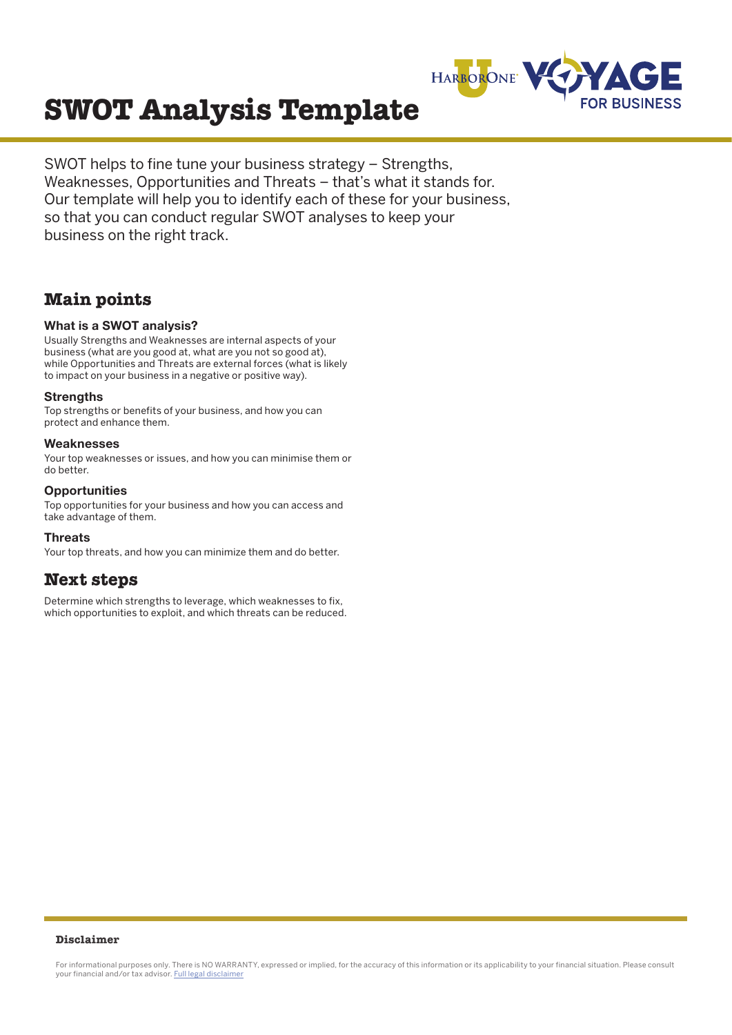

# **SWOT Analysis Template**

SWOT helps to fine tune your business strategy – Strengths, Weaknesses, Opportunities and Threats – that's what it stands for. Our template will help you to identify each of these for your business, so that you can conduct regular SWOT analyses to keep your business on the right track.

## **Main points**

#### **What is a SWOT analysis?**

Usually Strengths and Weaknesses are internal aspects of your business (what are you good at, what are you not so good at), while Opportunities and Threats are external forces (what is likely to impact on your business in a negative or positive way).

#### **Strengths**

Top strengths or benefits of your business, and how you can protect and enhance them.

#### **Weaknesses**

Your top weaknesses or issues, and how you can minimise them or do better.

#### **Opportunities**

Top opportunities for your business and how you can access and take advantage of them.

#### **Threats**

Your top threats, and how you can minimize them and do better.

### **Next steps**

Determine which strengths to leverage, which weaknesses to fix, which opportunities to exploit, and which threats can be reduced.

#### **Disclaimer**

For informational purposes only. There is NO WARRANTY, expressed or implied, for the accuracy of this information or its applicability to your financial situation. Please consult your financial and/or tax advisor. [Full legal disclaimer](https://voyage.harborone.com/disclaimer/)